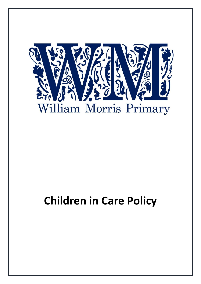

# **Children in Care Policy**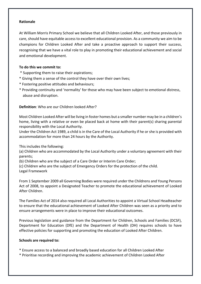#### **Rationale**

At William Morris Primary School we believe that all Children Looked After, and those previously in care, should have equitable access to excellent educational provision. As a community we aim to be champions for Children Looked After and take a proactive approach to support their success, recognising that we have a vital role to play in promoting their educational achievement and social and emotional development.

## **To do this we commit to:**

- \* Supporting them to raise their aspirations;
- \* Giving them a sense of the control they have over their own lives;
- \* Fostering positive attitudes and behaviours;
- \* Providing continuity and 'normality' for those who may have been subject to emotional distress, abuse and disruption.

## **Definition**: Who are our Children looked After?

Most Children Looked After will be living in foster homes but a smaller number may be in a children's home, living with a relative or even be placed back at home with their parent(s) sharing parental responsibility with the Local Authority.

Under the Children Act 1989, a child is in the Care of the Local Authority if he or she is provided with accommodation for more than 24 hours by the Authority.

This includes the following:

(a) Children who are accommodated by the Local Authority under a voluntary agreement with their parents;

(b) Children who are the subject of a Care Order or Interim Care Order;

(c) Children who are the subject of Emergency Orders for the protection of the child.

Legal Framework

From 1 September 2009 all Governing Bodies were required under the Childrens and Young Persons Act of 2008, to appoint a Designated Teacher to promote the educational achievement of Looked After Children.

The Families Act of 2014 also required all Local Authorities to appoint a Virtual School Headteacher to ensure that the educational achievement of Looked After Children was seen as a priority and to ensure arrangements were in place to improve their educational outcomes.

Previous legislation and guidance from the Department for Children, Schools and Families (DCSF), Department for Education (DfE) and the Department of Health (DH) requires schools to have effective policies for supporting and promoting the education of Looked After Children.

## **Schools are required to:**

- \* Ensure access to a balanced and broadly based education for all Children Looked After
- \* Prioritise recording and improving the academic achievement of Children Looked After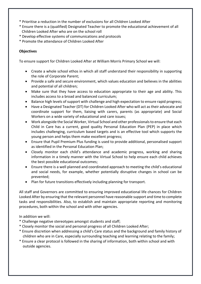- \* Prioritise a reduction in the number of exclusions for all Children Looked After
- \* Ensure there is a (qualified) Designated Teacher to promote the educational achievement of all Children Looked After who are on the school roll
- \* Develop effective systems of communications and protocols
- \* Promote the attendance of Children Looked After

## **Objectives**

To ensure support for Children Looked After at William Morris Primary School we will:

- Create a whole school ethos in which all staff understand their responsibility in supporting the role of Corporate Parent;
- Provide a safe and secure environment, which values education and believes in the abilities and potential of all children;
- Make sure that they have access to education appropriate to their age and ability. This includes access to a broad and balanced curriculum;
- Balance high levels of support with challenge and high expectation to ensure rapid progress;
- Have a Designated Teacher (DT) for Children Looked After who will act as their advocate and coordinate support for them, liaising with carers, parents (as appropriate) and Social Workers on a wide variety of educational and care issues;
- Work alongside the Social Worker, Virtual School and other professionals to ensure that each Child in Care has a current, good quality Personal Education Plan (PEP) in place which includes challenging, curriculum based targets and is an effective tool which supports the young person and helps them make excellent progress;
- Ensure that Pupil Premium Plus funding is used to provide additional, personalised support as identified in the Personal Education Plan;
- Closely monitor each child's attendance and academic progress, working and sharing information in a timely manner with the Virtual School to help ensure each child achieves the best possible educational outcomes;
- Ensure there is a well planned and coordinated approach to meeting the child's educational and social needs, for example, whether potentially disruptive changes in school can be prevented;
- Plan for future transitions effectively including planning for transport.

All staff and Governors are committed to ensuring improved educational life chances for Children Looked After by ensuring that the relevant personnel have reasonable support and time to complete tasks and responsibilities. Also, to establish and maintain appropriate reporting and monitoring procedures, both within the school and with other agencies.

In addition we will:

- \* Challenge negative stereotypes amongst students and staff;
- \* Closely monitor the social and personal progress of all Children Looked After;
- \* Ensure discretion when addressing a child's Care status and the background and family history of children who are in Care, especially surrounding teaching and learning relating to the family;
- \* Ensure a clear protocol is followed in the sharing of information, both within school and with outside agencies.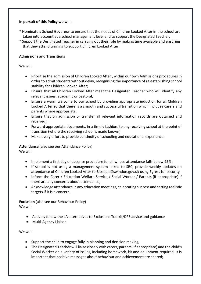### **In pursuit of this Policy we will:**

- \* Nominate a School Governor to ensure that the needs of Children Looked After in the school are taken into account at a school management level and to support the Designated Teacher;
- \* Support the Designated Teacher in carrying out their role by making time available and ensuring that they attend training to support Children Looked After.

## **Admissions and Transitions**

We will:

- Prioritise the admission of Children Looked After , within our own Admissions procedures in order to admit students without delay, recognising the importance of re-establishing school stability for Children Looked After;
- Ensure that all Children Looked After meet the Designated Teacher who will identify any relevant issues, academic or pastoral;
- Ensure a warm welcome to our school by providing appropriate induction for all Children Looked After so that there is a smooth and successful transition which includes carers and parents where appropriate;
- Ensure that on admission or transfer all relevant information records are obtained and received;
- Forward appropriate documents, in a timely fashion, to any receiving school at the point of transition (where the receiving school is made known);
- Make every effort to provide continuity of schooling and educational experience.

**Attendance** (also see our Attendance Policy) We will:

- Implement a first day of absence procedure for all whose attendance falls below 95%;
- If school is not using a management system linked to SBC, provide weekly updates on attendance of Children Looked After to SJoseph@swindon.gov.uk using Egress for security
- Inform the Carer / Education Welfare Service / Social Worker / Parents (if appropriate) if there are any concerns about attendance;
- Acknowledge attendance in any education meetings, celebrating success and setting realistic targets if it is a concern.

**Exclusion** (also see our Behaviour Policy) We will:

- Actively follow the LA alternatives to Exclusions Toolkit/DFE advice and guidance
- Multi-Agency Liaison

We will:

- Support the child to engage fully in planning and decision making;
- The Designated Teacher will liaise closely with carers, parents (if appropriate) and the child's Social Worker on a variety of issues, including homework, kit and equipment required. It is important that positive messages about behaviour and achievement are shared;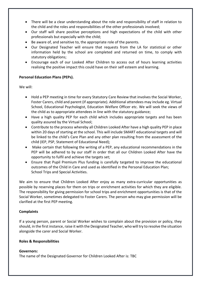- There will be a clear understanding about the role and responsibility of staff in relation to the child and the roles and responsibilities of the other professionals involved;
- Our staff will share positive perceptions and high expectations of the child with other professionals but especially with the child;
- Be aware of, and sensitive to, the appropriate role of the parents.
- Our Designated Teacher will ensure that requests from the LA for statistical or other information held by the school are completed and returned on time, to comply with statutory obligations;
- Encourage each of our Looked After Children to access out of hours learning activities realising the positive impact this could have on their self esteem and learning.

## **Personal Education Plans (PEPs).**

We will:

- Hold a PEP meeting in time for every Statutory Care Review that involves the Social Worker, Foster Carers, child and parent (if appropriate). Additional attendees may include eg. Virtual School, Educational Psychologist, Education Welfare Officer etc. We will seek the views of the child as to appropriate attendees in line with the statutory guidance;
- Have a high quality PEP for each child which includes appropriate targets and has been quality assured by the Virtual School;
- Contribute to the process whereby all Children Looked After have a high quality PEP in place within 20 days of starting at the school. This will include SMART educational targets and will be linked to the child's Care Plan and any other plan resulting from the assessment of the child (IEP, PSP, Statement of Educational Need);
- Make certain that following the writing of a PEP, any educational recommendations in the PEP will be adhered to by our staff in order that all our Children Looked After have the opportunity to fulfil and achieve the targets set;
- Ensure that Pupil Premium Plus funding is carefully targeted to improve the educational outcomes of the Child in Care and used as identified in the Personal Education Plan; School Trips and Special Activities.

We aim to ensure that Children Looked After enjoy as many extra-curricular opportunities as possible by reserving places for them on trips or enrichment activities for which they are eligible. The responsibility for giving permission for school trips and enrichment opportunities is that of the Social Worker, sometimes delegated to Foster Carers. The person who may give permission will be clarified at the first PEP meeting.

#### **Complaints**

If a young person, parent or Social Worker wishes to complain about the provision or policy, they should, in the first instance, raise it with the Designated Teacher, who will try to resolve the situation alongside the carer and Social Worker.

#### **Roles & Responsibilities**

#### **Governors:**

The name of the Designated Governor for Children Looked After is: TBC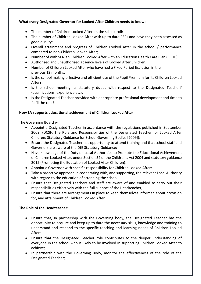# **What every Designated Governor for Looked After Children needs to know:**

- The number of Children Looked After on the school roll;
- The number of Children Looked After with up to date PEPs and have they been assessed as good quality;
- Overall attainment and progress of Children Looked After in the school / performance compared to non-Children Looked After;
- Number of with SEN an Children Looked After with an Education Health Care Plan (ECHP);
- Authorised and unauthorised absence levels of Looked After Children;
- Number of Children Looked After who have had a Fixed Period Exclusion in the previous 12 months;
- Is the school making effective and efficient use of the Pupil Premium for its Children Looked After?;
- Is the school meeting its statutory duties with respect to the Designated Teacher? (qualifications, experience etc);
- Is the Designated Teacher provided with appropriate professional development and time to fulfil the role?

# **How LA supports educational achievement of Children Looked After**

The Governing Board will:

- Appoint a Designated Teacher in accordance with the regulations published in September 2009; (DCSF, The Role and Responsibilities of the Designated Teacher for Looked After Children: Statutory Guidance for School Governing Bodies [2009]);
- Ensure the Designated Teacher has opportunity to attend training and that school staff and Governors are aware of the DfE Statutory Guidance;
- Have knowledge of the Duty on Local Authorities to Promote the Educational Achievement of Children Looked After, under Section 52 of the Children's Act 2004 and statutory guidance 2015 (Promoting the Education of Looked After Children);
- Appoint a Governor with specific responsibility for Children Looked After;
- Take a proactive approach in cooperating with, and supporting, the relevant Local Authority with regard to the education of attending the school;
- Ensure that Designated Teachers and staff are aware of and enabled to carry out their responsibilities effectively with the full support of the Headteacher;
- Ensure that there are arrangements in place to keep themselves informed about provision for, and attainment of Children Looked After.

# **The Role of the Headteacher**:

- Ensure that, in partnership with the Governing body, the Designated Teacher has the opportunity to acquire and keep up to date the necessary skills, knowledge and training to understand and respond to the specific teaching and learning needs of Children Looked After;
- Ensure that the Designated Teacher role contributes to the deeper understanding of everyone in the school who is likely to be involved in supporting Children Looked After to achieve;
- In partnership with the Governing Body, monitor the effectiveness of the role of the Designated Teacher;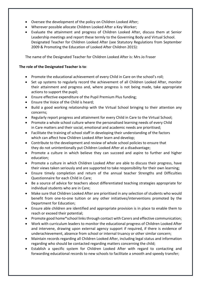- Oversee the development of the policy on Children Looked After;
- Wherever possible allocate Children Looked After a Key Worker;
- Evaluate the attainment and progress of Children Looked After, discuss them at Senior Leadership meetings and report these termly to the Governing Body and Virtual School. Designated Teacher for Children Looked After (see Statutory Regulations from September 2009 & Promoting the Education of Looked After Children 2015):

The name of the Designated Teacher for Children Looked After is: Mrs Jo Fraser

## **The role of the Designated Teacher is to**:

- Promote the educational achievement of every Child in Care on the school's roll;
- Set up systems to regularly record the achievement of all Children Looked After, monitor their attainment and progress and, where progress is not being made, take appropriate actions to support the pupil;
- Ensure effective expenditure of the Pupil Premium Plus funding;
- Ensure the Voice of the Child is heard;
- Build a good working relationship with the Virtual School bringing to their attention any concerns;
- Regularly report progress and attainment for every Child in Care to the Virtual School;
- Promote a whole school culture where the personalised learning needs of every Child in Care matters and their social, emotional and academic needs are prioritised;
- Facilitate the training of school staff in developing their understanding of the factors which can affect how Children Looked After learn and develop;
- Contribute to the development and review of whole school policies to ensure that they do not unintentionally put Children Looked After at a disadvantage;
- Promote a culture in which believe they can succeed and aspire to further and higher education;
- Promote a culture in which Children Looked After are able to discuss their progress, have their views taken seriously and are supported to take responsibility for their own learning;
- Ensure timely completion and return of the annual teacher Strengths and Difficulties Questionnaire for each Child in Care;
- Be a source of advice for teachers about differentiated teaching strategies appropriate for individual students who are in Care;
- Make sure that Children Looked After are prioritised in any selection of students who would benefit from one-to-one tuition or any other initiatives/interventions promoted by the Department for Education;
- Ensure able children are identified and appropriate provision is in place to enable them to reach or exceed their potential;
- Promote good home\*school links through contact with Carers and effective communication;
- Work with curriculum leaders to monitor the educational progress of Children Looked After and intervene, drawing upon external agency support if required, if there is evidence of underachievement, absence from school or internal truancy or other similar concern;
- Maintain records regarding all Children Looked After, including legal status and information regarding who should be contacted regarding matters concerning the child;
- Establish a specific system for Children Looked After with regard to contacting and forwarding educational records to new schools to facilitate a smooth and speedy transfer;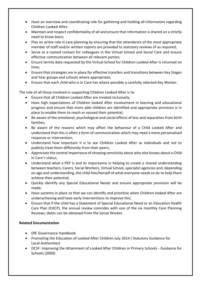- Have an overview and coordinating role for gathering and holding all information regarding Children Looked After;
- Maintain and respect confidentiality of all and ensure that information is shared on a strictly need to know basis;
- Play an active role in care planning by ensuring that the attendance of the most appropriate member of staff and/or written reports are provided to statutory reviews of as required;
- Serve as a named contact for colleagues in the Virtual School and Social Care and ensure effective communication between all relevant parties;
- Ensure termly data requested by the Virtual School for Children Looked After is returned on time;
- Ensure that strategies are in place for effective transfers and transitions between Key Stages and Year groups and schools where appropriate;
- Ensure that each child who is in Care has where possible a carefully selected Key Worker.

The role of all those involved in supporting Children Looked After is to:

- Ensure that all Children Looked After are treated inclusively;
- Have high expectations of Children looked After involvement in learning and educational progress and ensure that more able children are identified and appropriate provision is in place to enable them to reach or exceed their potential;
- Be aware of the emotional, psychological and social effects of loss and separation from birth families;
- Be aware of the reasons which may affect the behaviour of a Child Looked After and understand that this is often a form of communication which may need a more personalised response or intervention;
- Understand how important it is to see Children Looked After as individuals and not to publicly treat them differently from their peers;
- Appreciate the central importance of showing sensitivity about who else knows about a Child in Care's status;
- Understand what a PEP is and its importance in helping to create a shared understanding between teachers, Carers, Social Workers, Virtual School, specialist agencies and, depending on age and understanding, the child him/herself of what everyone needs to do to help them achieve their potential;
- Quickly identify any Special Educational Needs and ensure appropriate provision will be made;
- Have systems in place so that we can identify and prioritise when Children looked After are underachieving and have early interventions to improve this;
- Ensure that if the child has a Statement of Special Educational Need or an Education Health Care Plan (EHCP), the annual review coincides with one of the six monthly Care Planning Reviews; dates can be obtained from the Social Worker.

# **Related Documentation**

- DfE Governance Handbook
- Promoting the Education of Looked After Children July 2014 ( Statutory Guidance for Local Authorities)
- DCSF: Improving the Attainment of Looked After Children in Primary Schools Guidance for Schools (2009)